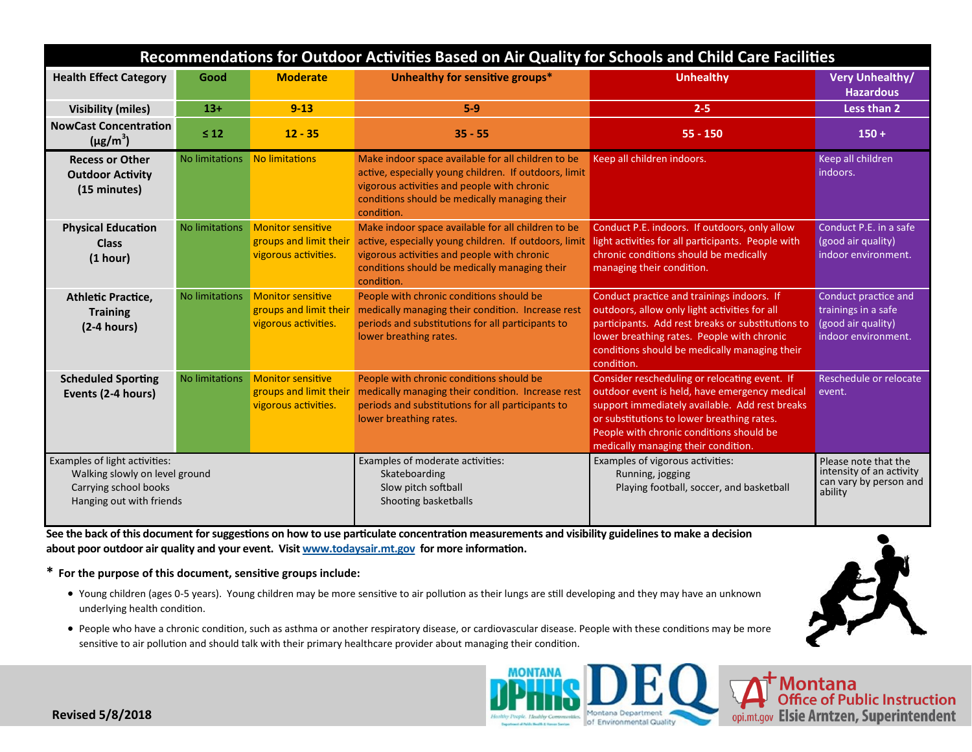| Recommendations for Outdoor Activities Based on Air Quality for Schools and Child Care Facilities                    |                |                                                                            |                                                                                                                                                                                                                           |                                                                                                                                                                                                                                                                                   |                                                                                          |
|----------------------------------------------------------------------------------------------------------------------|----------------|----------------------------------------------------------------------------|---------------------------------------------------------------------------------------------------------------------------------------------------------------------------------------------------------------------------|-----------------------------------------------------------------------------------------------------------------------------------------------------------------------------------------------------------------------------------------------------------------------------------|------------------------------------------------------------------------------------------|
| <b>Health Effect Category</b>                                                                                        | Good           | <b>Moderate</b>                                                            | Unhealthy for sensitive groups*                                                                                                                                                                                           | <b>Unhealthy</b>                                                                                                                                                                                                                                                                  | <b>Very Unhealthy/</b><br><b>Hazardous</b>                                               |
| <b>Visibility (miles)</b>                                                                                            | $13+$          | $9 - 13$                                                                   | $5-9$                                                                                                                                                                                                                     | $2 - 5$                                                                                                                                                                                                                                                                           | Less than 2                                                                              |
| <b>NowCast Concentration</b><br>$(\mu g/m^3)$                                                                        | $\leq 12$      | $12 - 35$                                                                  | $35 - 55$                                                                                                                                                                                                                 | $55 - 150$                                                                                                                                                                                                                                                                        | $150 +$                                                                                  |
| <b>Recess or Other</b><br><b>Outdoor Activity</b><br>(15 minutes)                                                    | No limitations | No limitations                                                             | Make indoor space available for all children to be<br>active, especially young children. If outdoors, limit<br>vigorous activities and people with chronic<br>conditions should be medically managing their<br>condition. | Keep all children indoors.                                                                                                                                                                                                                                                        | Keep all children<br>indoors.                                                            |
| <b>Physical Education</b><br><b>Class</b><br>(1 hour)                                                                | No limitations | <b>Monitor sensitive</b><br>groups and limit their<br>vigorous activities. | Make indoor space available for all children to be<br>active, especially young children. If outdoors, limit<br>vigorous activities and people with chronic<br>conditions should be medically managing their<br>condition. | Conduct P.E. indoors. If outdoors, only allow<br>light activities for all participants. People with<br>chronic conditions should be medically<br>managing their condition.                                                                                                        | Conduct P.E. in a safe<br>(good air quality)<br>indoor environment.                      |
| <b>Athletic Practice,</b><br><b>Training</b><br>$(2-4 hours)$                                                        | No limitations | <b>Monitor sensitive</b><br>groups and limit their<br>vigorous activities. | People with chronic conditions should be<br>medically managing their condition. Increase rest<br>periods and substitutions for all participants to<br>lower breathing rates.                                              | Conduct practice and trainings indoors. If<br>outdoors, allow only light activities for all<br>participants. Add rest breaks or substitutions to<br>lower breathing rates. People with chronic<br>conditions should be medically managing their<br>condition.                     | Conduct practice and<br>trainings in a safe<br>(good air quality)<br>indoor environment. |
| <b>Scheduled Sporting</b><br>Events (2-4 hours)                                                                      | No limitations | <b>Monitor sensitive</b><br>groups and limit their<br>vigorous activities. | People with chronic conditions should be<br>medically managing their condition. Increase rest<br>periods and substitutions for all participants to<br>lower breathing rates.                                              | Consider rescheduling or relocating event. If<br>outdoor event is held, have emergency medical<br>support immediately available. Add rest breaks<br>or substitutions to lower breathing rates.<br>People with chronic conditions should be<br>medically managing their condition. | Reschedule or relocate<br>event.                                                         |
| Examples of light activities:<br>Walking slowly on level ground<br>Carrying school books<br>Hanging out with friends |                |                                                                            | Examples of moderate activities:<br>Skateboarding<br>Slow pitch softball<br>Shooting basketballs                                                                                                                          | Examples of vigorous activities:<br>Running, jogging<br>Playing football, soccer, and basketball                                                                                                                                                                                  | Please note that the<br>intensity of an activity<br>can vary by person and<br>ability    |

**See the back of this document for suggestions on how to use particulate concentration measurements and visibility guidelines to make a decision about poor outdoor air quality and your event. Visit [www.todaysair.mt.gov](http://www.todaysair.mt.gov) for more information.** 

**\* For the purpose of this document, sensitive groups include:**

- Young children (ages 0-5 years). Young children may be more sensitive to air pollution as their lungs are still developing and they may have an unknown underlying health condition.
- People who have a chronic condition, such as asthma or another respiratory disease, or cardiovascular disease. People with these conditions may be more sensitive to air pollution and should talk with their primary healthcare provider about managing their condition.



Montana<br>Office of Public Instruction opi.mt.gov Elsie Arntzen, Superintendent